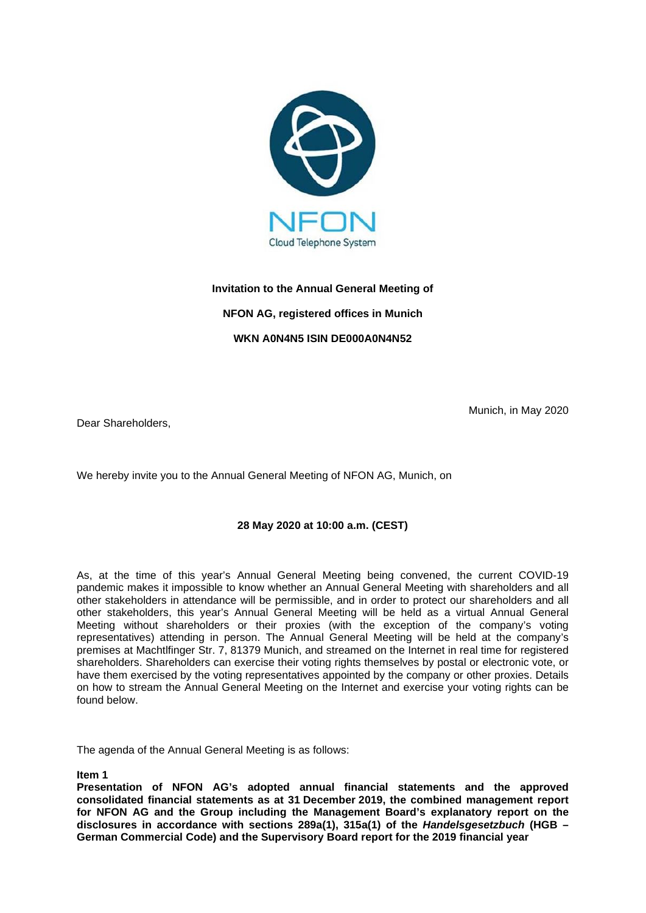

# **Invitation to the Annual General Meeting of NFON AG, registered offices in Munich WKN A0N4N5 ISIN DE000A0N4N52**

Dear Shareholders,

Munich, in May 2020

We hereby invite you to the Annual General Meeting of NFON AG, Munich, on

## **28 May 2020 at 10:00 a.m. (CEST)**

As, at the time of this year's Annual General Meeting being convened, the current COVID-19 pandemic makes it impossible to know whether an Annual General Meeting with shareholders and all other stakeholders in attendance will be permissible, and in order to protect our shareholders and all other stakeholders, this year's Annual General Meeting will be held as a virtual Annual General Meeting without shareholders or their proxies (with the exception of the company's voting representatives) attending in person. The Annual General Meeting will be held at the company's premises at Machtlfinger Str. 7, 81379 Munich, and streamed on the Internet in real time for registered shareholders. Shareholders can exercise their voting rights themselves by postal or electronic vote, or have them exercised by the voting representatives appointed by the company or other proxies. Details on how to stream the Annual General Meeting on the Internet and exercise your voting rights can be found below.

The agenda of the Annual General Meeting is as follows:

**Item 1**

**Presentation of NFON AG's adopted annual financial statements and the approved consolidated financial statements as at 31 December 2019, the combined management report for NFON AG and the Group including the Management Board's explanatory report on the disclosures in accordance with sections 289a(1), 315a(1) of the** *Handelsgesetzbuch* **(HGB – German Commercial Code) and the Supervisory Board report for the 2019 financial year**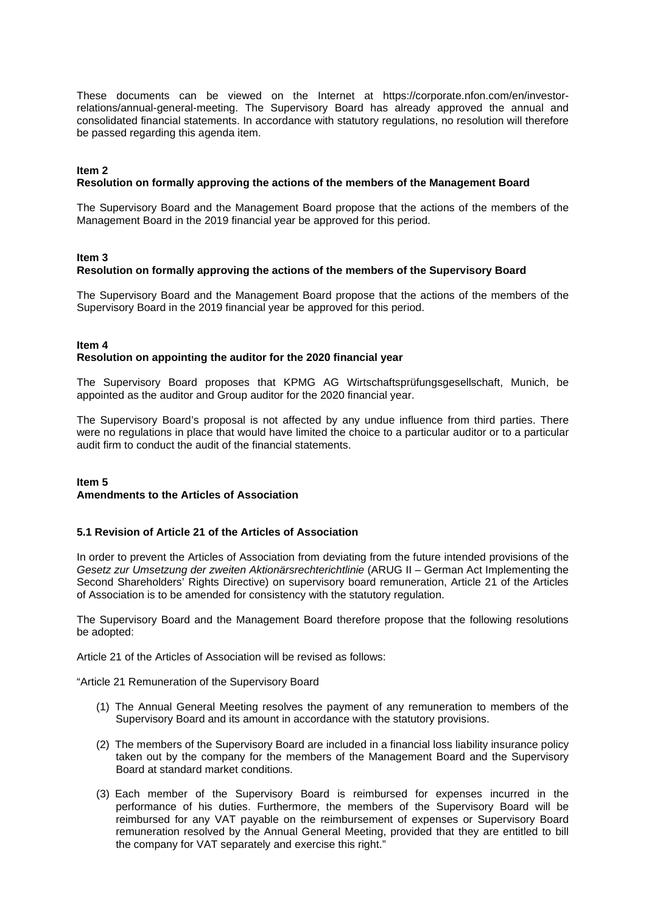These documents can be viewed on the Internet at https://corporate.nfon.com/en/investorrelations/annual-general-meeting. The Supervisory Board has already approved the annual and consolidated financial statements. In accordance with statutory regulations, no resolution will therefore be passed regarding this agenda item.

#### **Item 2**

## **Resolution on formally approving the actions of the members of the Management Board**

The Supervisory Board and the Management Board propose that the actions of the members of the Management Board in the 2019 financial year be approved for this period.

#### **Item 3**

## **Resolution on formally approving the actions of the members of the Supervisory Board**

The Supervisory Board and the Management Board propose that the actions of the members of the Supervisory Board in the 2019 financial year be approved for this period.

## **Item 4**

#### **Resolution on appointing the auditor for the 2020 financial year**

The Supervisory Board proposes that KPMG AG Wirtschaftsprüfungsgesellschaft, Munich, be appointed as the auditor and Group auditor for the 2020 financial year.

The Supervisory Board's proposal is not affected by any undue influence from third parties. There were no regulations in place that would have limited the choice to a particular auditor or to a particular audit firm to conduct the audit of the financial statements.

#### **Item 5 Amendments to the Articles of Association**

#### **5.1 Revision of Article 21 of the Articles of Association**

In order to prevent the Articles of Association from deviating from the future intended provisions of the *Gesetz zur Umsetzung der zweiten Aktionärsrechterichtlinie* (ARUG II – German Act Implementing the Second Shareholders' Rights Directive) on supervisory board remuneration, Article 21 of the Articles of Association is to be amended for consistency with the statutory regulation.

The Supervisory Board and the Management Board therefore propose that the following resolutions be adopted:

Article 21 of the Articles of Association will be revised as follows:

"Article 21 Remuneration of the Supervisory Board

- (1) The Annual General Meeting resolves the payment of any remuneration to members of the Supervisory Board and its amount in accordance with the statutory provisions.
- (2) The members of the Supervisory Board are included in a financial loss liability insurance policy taken out by the company for the members of the Management Board and the Supervisory Board at standard market conditions.
- (3) Each member of the Supervisory Board is reimbursed for expenses incurred in the performance of his duties. Furthermore, the members of the Supervisory Board will be reimbursed for any VAT payable on the reimbursement of expenses or Supervisory Board remuneration resolved by the Annual General Meeting, provided that they are entitled to bill the company for VAT separately and exercise this right.'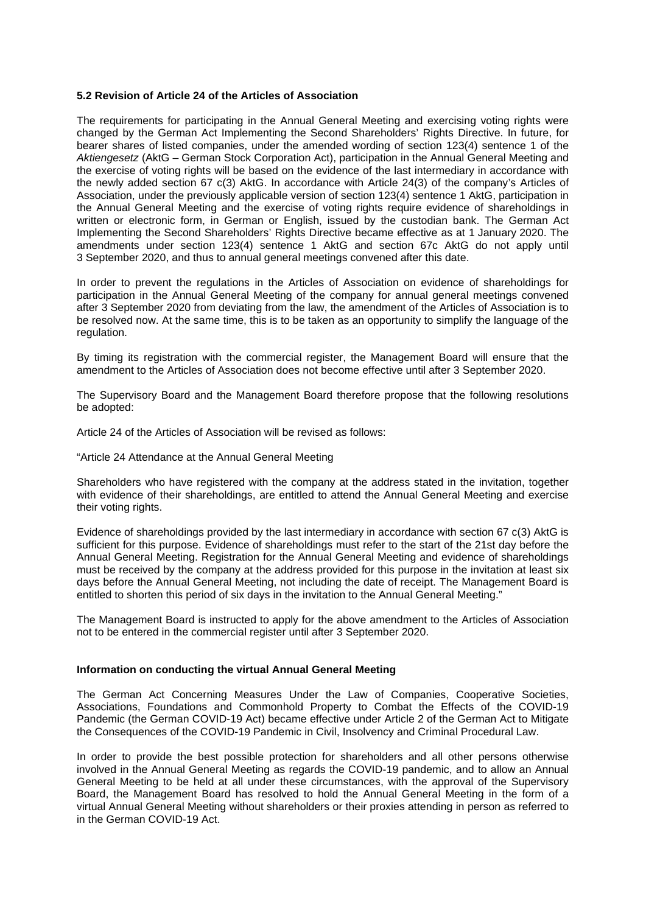#### **5.2 Revision of Article 24 of the Articles of Association**

The requirements for participating in the Annual General Meeting and exercising voting rights were changed by the German Act Implementing the Second Shareholders' Rights Directive. In future, for bearer shares of listed companies, under the amended wording of section 123(4) sentence 1 of the *Aktiengesetz* (AktG – German Stock Corporation Act), participation in the Annual General Meeting and the exercise of voting rights will be based on the evidence of the last intermediary in accordance with the newly added section 67 c(3) AktG. In accordance with Article 24(3) of the company's Articles of Association, under the previously applicable version of section 123(4) sentence 1 AktG, participation in the Annual General Meeting and the exercise of voting rights require evidence of shareholdings in written or electronic form, in German or English, issued by the custodian bank. The German Act Implementing the Second Shareholders' Rights Directive became effective as at 1 January 2020. The amendments under section 123(4) sentence 1 AktG and section 67c AktG do not apply until 3 September 2020, and thus to annual general meetings convened after this date.

In order to prevent the regulations in the Articles of Association on evidence of shareholdings for participation in the Annual General Meeting of the company for annual general meetings convened after 3 September 2020 from deviating from the law, the amendment of the Articles of Association is to be resolved now. At the same time, this is to be taken as an opportunity to simplify the language of the regulation.

By timing its registration with the commercial register, the Management Board will ensure that the amendment to the Articles of Association does not become effective until after 3 September 2020.

The Supervisory Board and the Management Board therefore propose that the following resolutions be adopted:

Article 24 of the Articles of Association will be revised as follows:

"Article 24 Attendance at the Annual General Meeting

Shareholders who have registered with the company at the address stated in the invitation, together with evidence of their shareholdings, are entitled to attend the Annual General Meeting and exercise their voting rights.

Evidence of shareholdings provided by the last intermediary in accordance with section 67 c(3) AktG is sufficient for this purpose. Evidence of shareholdings must refer to the start of the 21st day before the Annual General Meeting. Registration for the Annual General Meeting and evidence of shareholdings must be received by the company at the address provided for this purpose in the invitation at least six days before the Annual General Meeting, not including the date of receipt. The Management Board is entitled to shorten this period of six days in the invitation to the Annual General Meeting."

The Management Board is instructed to apply for the above amendment to the Articles of Association not to be entered in the commercial register until after 3 September 2020.

#### **Information on conducting the virtual Annual General Meeting**

The German Act Concerning Measures Under the Law of Companies, Cooperative Societies, Associations, Foundations and Commonhold Property to Combat the Effects of the COVID-19 Pandemic (the German COVID-19 Act) became effective under Article 2 of the German Act to Mitigate the Consequences of the COVID-19 Pandemic in Civil, Insolvency and Criminal Procedural Law.

In order to provide the best possible protection for shareholders and all other persons otherwise involved in the Annual General Meeting as regards the COVID-19 pandemic, and to allow an Annual General Meeting to be held at all under these circumstances, with the approval of the Supervisory Board, the Management Board has resolved to hold the Annual General Meeting in the form of a virtual Annual General Meeting without shareholders or their proxies attending in person as referred to in the German COVID-19 Act.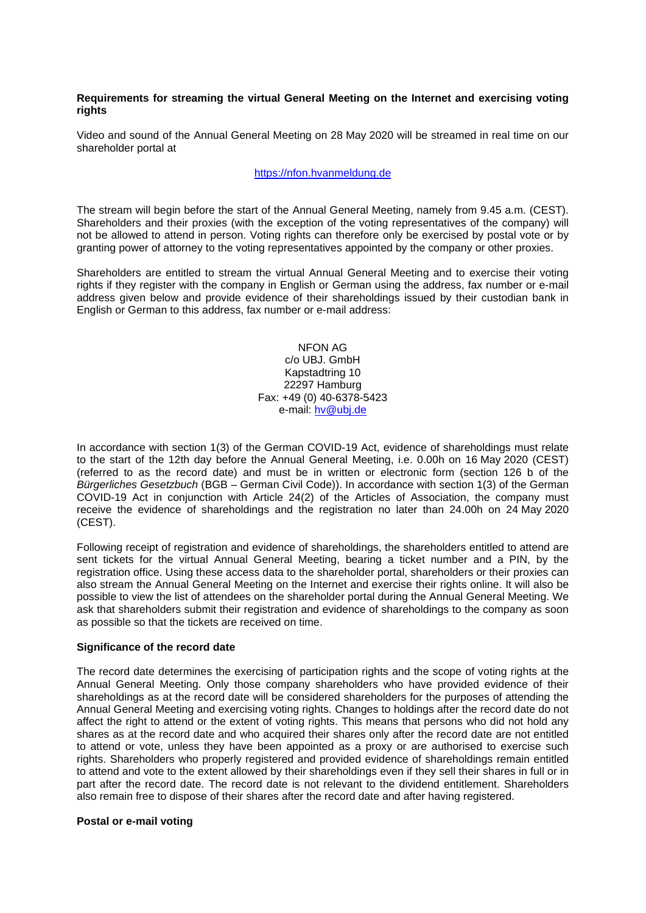## **Requirements for streaming the virtual General Meeting on the Internet and exercising voting rights**

Video and sound of the Annual General Meeting on 28 May 2020 will be streamed in real time on our shareholder portal at

#### [https://nfon.hvanmeldung.de](https://nfon.hvanmeldung.de/)

The stream will begin before the start of the Annual General Meeting, namely from 9.45 a.m. (CEST). Shareholders and their proxies (with the exception of the voting representatives of the company) will not be allowed to attend in person. Voting rights can therefore only be exercised by postal vote or by granting power of attorney to the voting representatives appointed by the company or other proxies.

Shareholders are entitled to stream the virtual Annual General Meeting and to exercise their voting rights if they register with the company in English or German using the address, fax number or e-mail address given below and provide evidence of their shareholdings issued by their custodian bank in English or German to this address, fax number or e-mail address:

> NFON AG c/o UBJ. GmbH Kapstadtring 10 22297 Hamburg Fax: +49 (0) 40-6378-5423 e-mail: [hv@ubj.de](mailto:hv@ubj.de)

In accordance with section 1(3) of the German COVID-19 Act, evidence of shareholdings must relate to the start of the 12th day before the Annual General Meeting, i.e. 0.00h on 16 May 2020 (CEST) (referred to as the record date) and must be in written or electronic form (section 126 b of the *Bürgerliches Gesetzbuch* (BGB – German Civil Code)). In accordance with section 1(3) of the German COVID-19 Act in conjunction with Article 24(2) of the Articles of Association, the company must receive the evidence of shareholdings and the registration no later than 24.00h on 24 May 2020 (CEST).

Following receipt of registration and evidence of shareholdings, the shareholders entitled to attend are sent tickets for the virtual Annual General Meeting, bearing a ticket number and a PIN, by the registration office. Using these access data to the shareholder portal, shareholders or their proxies can also stream the Annual General Meeting on the Internet and exercise their rights online. It will also be possible to view the list of attendees on the shareholder portal during the Annual General Meeting. We ask that shareholders submit their registration and evidence of shareholdings to the company as soon as possible so that the tickets are received on time.

#### **Significance of the record date**

The record date determines the exercising of participation rights and the scope of voting rights at the Annual General Meeting. Only those company shareholders who have provided evidence of their shareholdings as at the record date will be considered shareholders for the purposes of attending the Annual General Meeting and exercising voting rights. Changes to holdings after the record date do not affect the right to attend or the extent of voting rights. This means that persons who did not hold any shares as at the record date and who acquired their shares only after the record date are not entitled to attend or vote, unless they have been appointed as a proxy or are authorised to exercise such rights. Shareholders who properly registered and provided evidence of shareholdings remain entitled to attend and vote to the extent allowed by their shareholdings even if they sell their shares in full or in part after the record date. The record date is not relevant to the dividend entitlement. Shareholders also remain free to dispose of their shares after the record date and after having registered.

#### **Postal or e-mail voting**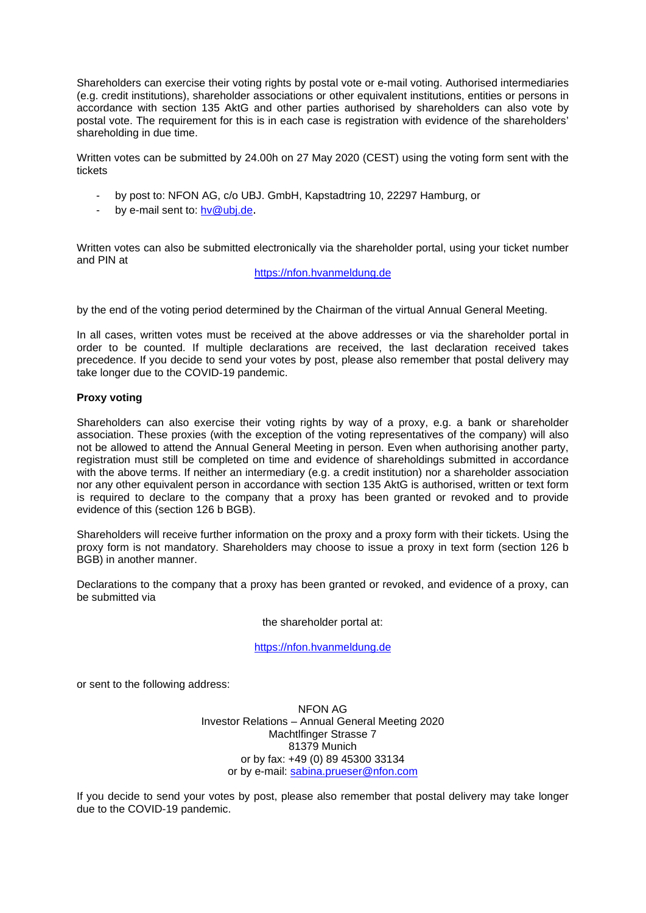Shareholders can exercise their voting rights by postal vote or e-mail voting. Authorised intermediaries (e.g. credit institutions), shareholder associations or other equivalent institutions, entities or persons in accordance with section 135 AktG and other parties authorised by shareholders can also vote by postal vote. The requirement for this is in each case is registration with evidence of the shareholders' shareholding in due time.

Written votes can be submitted by 24.00h on 27 May 2020 (CEST) using the voting form sent with the tickets

- by post to: NFON AG, c/o UBJ. GmbH, Kapstadtring 10, 22297 Hamburg, or
- by e-mail sent to: [hv@ubj.de.](mailto:hv@ubj.de)

Written votes can also be submitted electronically via the shareholder portal, using your ticket number and PIN at

## [https://nfon.hvanmeldung.de](https://nfon.hvanmeldung.de/)

by the end of the voting period determined by the Chairman of the virtual Annual General Meeting.

In all cases, written votes must be received at the above addresses or via the shareholder portal in order to be counted. If multiple declarations are received, the last declaration received takes precedence. If you decide to send your votes by post, please also remember that postal delivery may take longer due to the COVID-19 pandemic.

## **Proxy voting**

Shareholders can also exercise their voting rights by way of a proxy, e.g. a bank or shareholder association. These proxies (with the exception of the voting representatives of the company) will also not be allowed to attend the Annual General Meeting in person. Even when authorising another party, registration must still be completed on time and evidence of shareholdings submitted in accordance with the above terms. If neither an intermediary (e.g. a credit institution) nor a shareholder association nor any other equivalent person in accordance with section 135 AktG is authorised, written or text form is required to declare to the company that a proxy has been granted or revoked and to provide evidence of this (section 126 b BGB).

Shareholders will receive further information on the proxy and a proxy form with their tickets. Using the proxy form is not mandatory. Shareholders may choose to issue a proxy in text form (section 126 b BGB) in another manner.

Declarations to the company that a proxy has been granted or revoked, and evidence of a proxy, can be submitted via

#### the shareholder portal at:

#### [https://nfon.hvanmeldung.de](https://nfon.hvanmeldung.de/)

or sent to the following address:

NFON AG Investor Relations – Annual General Meeting 2020 Machtlfinger Strasse 7 81379 Munich or by fax: +49 (0) 89 45300 33134 or by e-mail: [sabina.prueser@nfon.com](mailto:sabina.prueser@nfon.com)

If you decide to send your votes by post, please also remember that postal delivery may take longer due to the COVID-19 pandemic.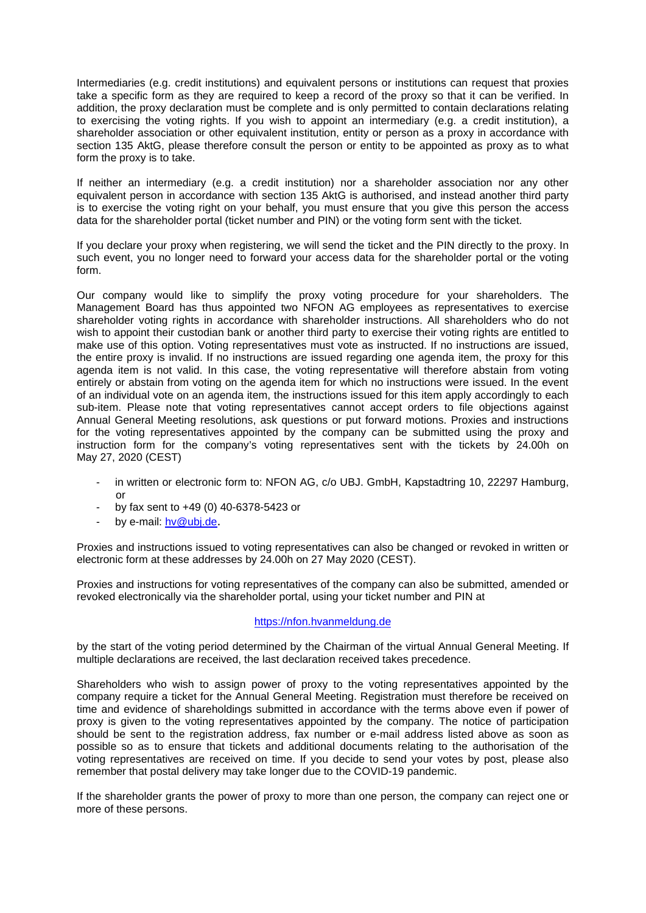Intermediaries (e.g. credit institutions) and equivalent persons or institutions can request that proxies take a specific form as they are required to keep a record of the proxy so that it can be verified. In addition, the proxy declaration must be complete and is only permitted to contain declarations relating to exercising the voting rights. If you wish to appoint an intermediary (e.g. a credit institution), a shareholder association or other equivalent institution, entity or person as a proxy in accordance with section 135 AktG, please therefore consult the person or entity to be appointed as proxy as to what form the proxy is to take.

If neither an intermediary (e.g. a credit institution) nor a shareholder association nor any other equivalent person in accordance with section 135 AktG is authorised, and instead another third party is to exercise the voting right on your behalf, you must ensure that you give this person the access data for the shareholder portal (ticket number and PIN) or the voting form sent with the ticket.

If you declare your proxy when registering, we will send the ticket and the PIN directly to the proxy. In such event, you no longer need to forward your access data for the shareholder portal or the voting form.

Our company would like to simplify the proxy voting procedure for your shareholders. The Management Board has thus appointed two NFON AG employees as representatives to exercise shareholder voting rights in accordance with shareholder instructions. All shareholders who do not wish to appoint their custodian bank or another third party to exercise their voting rights are entitled to make use of this option. Voting representatives must vote as instructed. If no instructions are issued, the entire proxy is invalid. If no instructions are issued regarding one agenda item, the proxy for this agenda item is not valid. In this case, the voting representative will therefore abstain from voting entirely or abstain from voting on the agenda item for which no instructions were issued. In the event of an individual vote on an agenda item, the instructions issued for this item apply accordingly to each sub-item. Please note that voting representatives cannot accept orders to file objections against Annual General Meeting resolutions, ask questions or put forward motions. Proxies and instructions for the voting representatives appointed by the company can be submitted using the proxy and instruction form for the company's voting representatives sent with the tickets by 24.00h on May 27, 2020 (CEST)

- in written or electronic form to: NFON AG, c/o UBJ. GmbH, Kapstadtring 10, 22297 Hamburg, or
- by fax sent to +49 (0) 40-6378-5423 or
- by e-mail: [hv@ubj.de.](mailto:hv@ubj.de)

Proxies and instructions issued to voting representatives can also be changed or revoked in written or electronic form at these addresses by 24.00h on 27 May 2020 (CEST).

Proxies and instructions for voting representatives of the company can also be submitted, amended or revoked electronically via the shareholder portal, using your ticket number and PIN at

## [https://nfon.hvanmeldung.de](https://nfon.hvanmeldung.de/)

by the start of the voting period determined by the Chairman of the virtual Annual General Meeting. If multiple declarations are received, the last declaration received takes precedence.

Shareholders who wish to assign power of proxy to the voting representatives appointed by the company require a ticket for the Annual General Meeting. Registration must therefore be received on time and evidence of shareholdings submitted in accordance with the terms above even if power of proxy is given to the voting representatives appointed by the company. The notice of participation should be sent to the registration address, fax number or e-mail address listed above as soon as possible so as to ensure that tickets and additional documents relating to the authorisation of the voting representatives are received on time. If you decide to send your votes by post, please also remember that postal delivery may take longer due to the COVID-19 pandemic.

If the shareholder grants the power of proxy to more than one person, the company can reject one or more of these persons.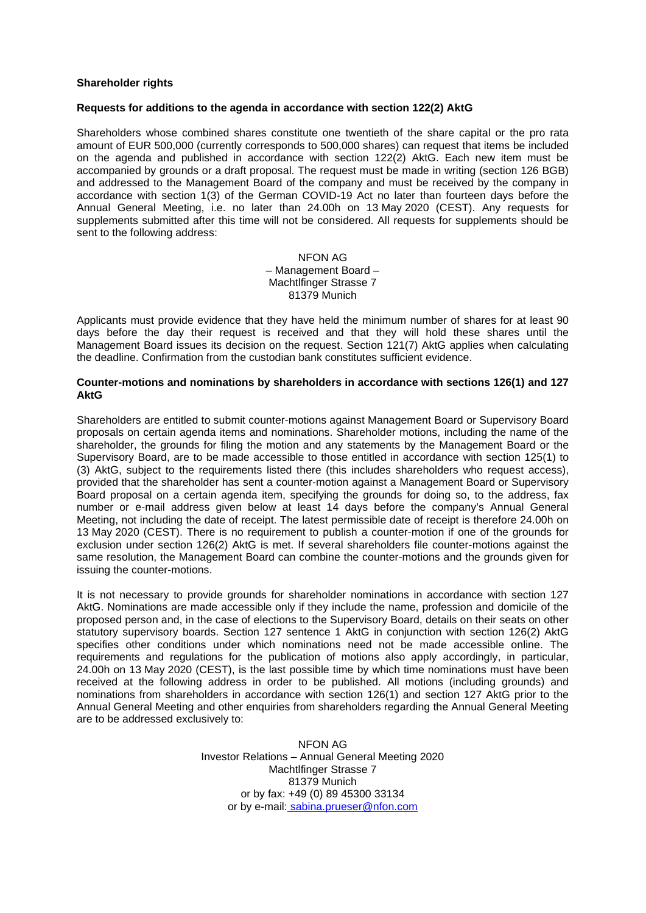## **Shareholder rights**

#### **Requests for additions to the agenda in accordance with section 122(2) AktG**

Shareholders whose combined shares constitute one twentieth of the share capital or the pro rata amount of EUR 500,000 (currently corresponds to 500,000 shares) can request that items be included on the agenda and published in accordance with section 122(2) AktG. Each new item must be accompanied by grounds or a draft proposal. The request must be made in writing (section 126 BGB) and addressed to the Management Board of the company and must be received by the company in accordance with section 1(3) of the German COVID-19 Act no later than fourteen days before the Annual General Meeting, i.e. no later than 24.00h on 13 May 2020 (CEST). Any requests for supplements submitted after this time will not be considered. All requests for supplements should be sent to the following address:

> NFON AG – Management Board – Machtlfinger Strasse 7 81379 Munich

Applicants must provide evidence that they have held the minimum number of shares for at least 90 days before the day their request is received and that they will hold these shares until the Management Board issues its decision on the request. Section 121(7) AktG applies when calculating the deadline. Confirmation from the custodian bank constitutes sufficient evidence.

## **Counter-motions and nominations by shareholders in accordance with sections 126(1) and 127 AktG**

Shareholders are entitled to submit counter-motions against Management Board or Supervisory Board proposals on certain agenda items and nominations. Shareholder motions, including the name of the shareholder, the grounds for filing the motion and any statements by the Management Board or the Supervisory Board, are to be made accessible to those entitled in accordance with section 125(1) to (3) AktG, subject to the requirements listed there (this includes shareholders who request access), provided that the shareholder has sent a counter-motion against a Management Board or Supervisory Board proposal on a certain agenda item, specifying the grounds for doing so, to the address, fax number or e-mail address given below at least 14 days before the company's Annual General Meeting, not including the date of receipt. The latest permissible date of receipt is therefore 24.00h on 13 May 2020 (CEST). There is no requirement to publish a counter-motion if one of the grounds for exclusion under section 126(2) AktG is met. If several shareholders file counter-motions against the same resolution, the Management Board can combine the counter-motions and the grounds given for issuing the counter-motions.

It is not necessary to provide grounds for shareholder nominations in accordance with section 127 AktG. Nominations are made accessible only if they include the name, profession and domicile of the proposed person and, in the case of elections to the Supervisory Board, details on their seats on other statutory supervisory boards. Section 127 sentence 1 AktG in conjunction with section 126(2) AktG specifies other conditions under which nominations need not be made accessible online. The requirements and regulations for the publication of motions also apply accordingly, in particular, 24.00h on 13 May 2020 (CEST), is the last possible time by which time nominations must have been received at the following address in order to be published. All motions (including grounds) and nominations from shareholders in accordance with section 126(1) and section 127 AktG prior to the Annual General Meeting and other enquiries from shareholders regarding the Annual General Meeting are to be addressed exclusively to:

> NFON AG Investor Relations – Annual General Meeting 2020 Machtlfinger Strasse 7 81379 Munich or by fax: +49 (0) 89 45300 33134 or by e-mail: [sabina.prueser@nfon.com](mailto:sabina.prueser@nfon.com)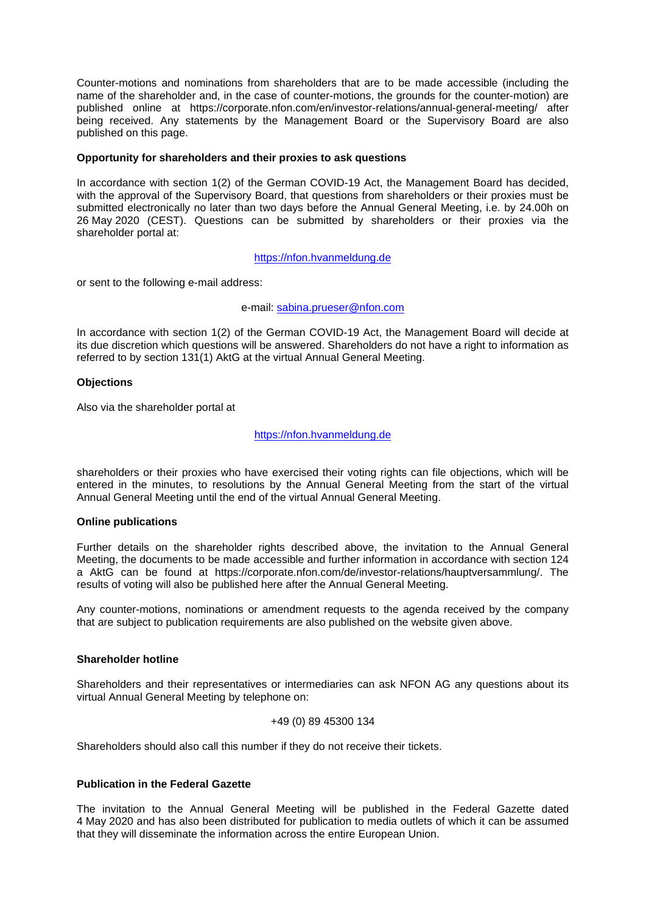Counter-motions and nominations from shareholders that are to be made accessible (including the name of the shareholder and, in the case of counter-motions, the grounds for the counter-motion) are published online at https://corporate.nfon.com/en/investor-relations/annual-general-meeting/ after being received. Any statements by the Management Board or the Supervisory Board are also published on this page.

#### **Opportunity for shareholders and their proxies to ask questions**

In accordance with section 1(2) of the German COVID-19 Act, the Management Board has decided, with the approval of the Supervisory Board, that questions from shareholders or their proxies must be submitted electronically no later than two days before the Annual General Meeting, i.e. by 24.00h on 26 May 2020 (CEST). Questions can be submitted by shareholders or their proxies via the shareholder portal at:

[https://nfon.hvanmeldung.de](https://nfon.hvanmeldung.de/)

or sent to the following e-mail address:

## e-mail: [sabina.prueser@nfon.com](mailto:sabina.prueser@nfon.com)

In accordance with section 1(2) of the German COVID-19 Act, the Management Board will decide at its due discretion which questions will be answered. Shareholders do not have a right to information as referred to by section 131(1) AktG at the virtual Annual General Meeting.

## **Objections**

Also via the shareholder portal at

#### [https://nfon.hvanmeldung.de](https://nfon.hvanmeldung.de/)

shareholders or their proxies who have exercised their voting rights can file objections, which will be entered in the minutes, to resolutions by the Annual General Meeting from the start of the virtual Annual General Meeting until the end of the virtual Annual General Meeting.

#### **Online publications**

Further details on the shareholder rights described above, the invitation to the Annual General Meeting, the documents to be made accessible and further information in accordance with section 124 a AktG can be found at https://corporate.nfon.com/de/investor-relations/hauptversammlung/. The results of voting will also be published here after the Annual General Meeting.

Any counter-motions, nominations or amendment requests to the agenda received by the company that are subject to publication requirements are also published on the website given above.

## **Shareholder hotline**

Shareholders and their representatives or intermediaries can ask NFON AG any questions about its virtual Annual General Meeting by telephone on:

#### +49 (0) 89 45300 134

Shareholders should also call this number if they do not receive their tickets.

# **Publication in the Federal Gazette**

The invitation to the Annual General Meeting will be published in the Federal Gazette dated 4 May 2020 and has also been distributed for publication to media outlets of which it can be assumed that they will disseminate the information across the entire European Union.